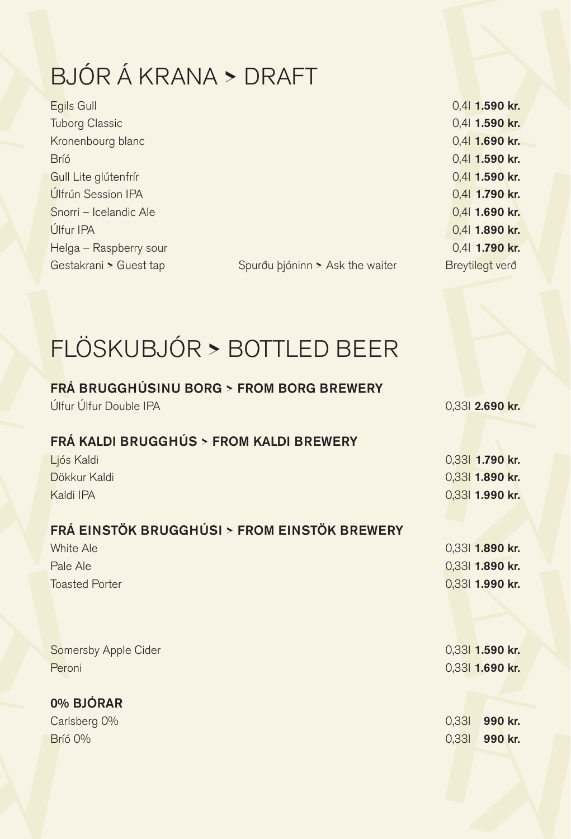# BJÓR Á KRANA **>** DRAFT

| Egils Gull             |                                 | 0,41 1.590 kr.  |  |
|------------------------|---------------------------------|-----------------|--|
| <b>Tuborg Classic</b>  |                                 | 0,41 1.590 kr.  |  |
| Kronenbourg blanc      |                                 | 0,4  1.690 kr.  |  |
| <b>Bríó</b>            |                                 | 0,4  1.590 kr.  |  |
| Gull Lite glútenfrír   |                                 | 0,4  1.590 kr.  |  |
| Úlfrún Session IPA     |                                 | 0,4  1.790 kr.  |  |
| Snorri - Icelandic Ale |                                 | 0,4 1.690 kr.   |  |
| Úlfur IPA              |                                 | 0,41 1.890 kr.  |  |
| Helga - Raspberry sour |                                 | 0,41 1.790 kr.  |  |
| Gestakrani > Guest tap | Spurðu þjóninn > Ask the waiter | Breytilegt verð |  |

| 0,41 <b>1.590 kr.</b> |
|-----------------------|
| 0.41 1.590 kr.        |
| 0.41 1.690 kr.        |
| 0,41 1.590 kr.        |
| 0,41 1.590 kr.        |
| 0,41 1.790 kr.        |
| 0.4 1.690 kr.         |
| 0.4 1.890 kr.         |
| 0.41 1.790 kr.        |
| Breytilegt verð       |

Spurðu þjóninn > Ask the waiter

### FLÖSKUBJÓR **>** BOTTLED BEER

#### FRÁ BRUGGHÚSINU BORG **>** FROM BORG BREWERY

Úlfur Úlfur Double IPA **1999 kr.** 2009 kr. 2009 kr. 2009 kr. 2009 kr. 2009 kr. 2009 kr. 2009 kr. 2009 kr. 2009 kr

### FRÁ KALDI BRUGGHÚS **>** FROM KALDI BREWERY

| Ljós Kaldi                                   |       | 0,33 1.790 kr.  |
|----------------------------------------------|-------|-----------------|
| Dökkur Kaldi                                 |       | 0,33 1.890 kr.  |
| Kaldi IPA                                    |       | 0,33 1.990 kr.  |
|                                              |       |                 |
| FRÁ EINSTÖK BRUGGHÚSI > FROM EINSTÖK BREWERY |       |                 |
| White Ale                                    |       | 0,33 1.890 kr.  |
| Pale Ale                                     |       | 0,33 1.890 kr.  |
| <b>Toasted Porter</b>                        |       | 0,33 1.990 kr.  |
|                                              |       |                 |
|                                              |       |                 |
|                                              |       |                 |
| Somersby Apple Cider                         |       | 0,33 1.590 kr.  |
| Peroni                                       |       | 0,331 1.690 kr. |
|                                              |       |                 |
| 0% BJÓRAR                                    |       |                 |
| Carlsberg 0%                                 | 0,331 | 990 kr.         |

Bríó 0% 0,33l 990 kr.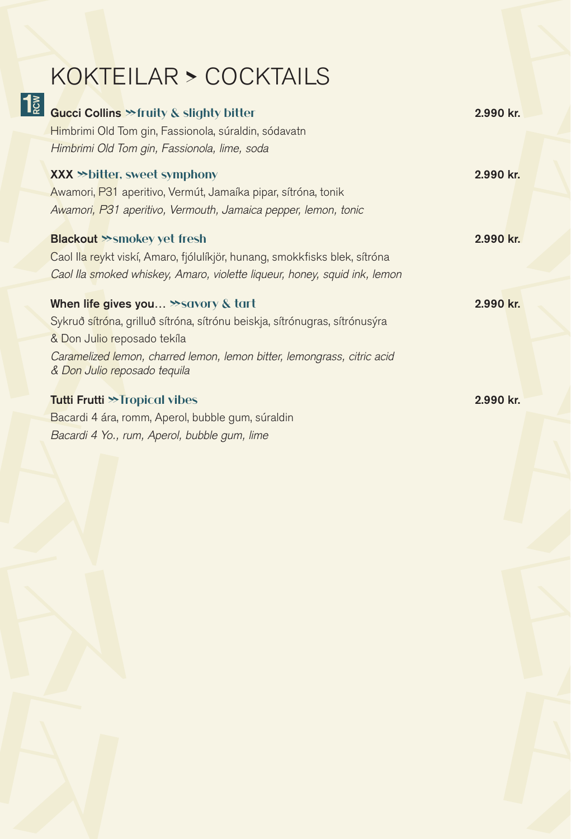# KOKTEILAR **>** COCKTAILS

| 1<br>≧ | Gucci Collins >> fruity & slighty bitter                                   | 2.990 kr. |
|--------|----------------------------------------------------------------------------|-----------|
|        | Himbrimi Old Tom gin, Fassionola, súraldin, sódavatn                       |           |
|        | Himbrimi Old Tom gin, Fassionola, lime, soda                               |           |
|        | <b>XXX &gt;&gt; bitter, sweet symphony</b>                                 | 2.990 kr. |
|        | Awamori, P31 aperitivo, Vermút, Jamaíka pipar, sítróna, tonik              |           |
|        | Awamori, P31 aperitivo, Vermouth, Jamaica pepper, lemon, tonic             |           |
|        | <b>Blackout &gt;&gt;smokey yet fresh</b>                                   | 2.990 kr. |
|        | Caol Ila reykt viskí, Amaro, fjólulíkjör, hunang, smokkfisks blek, sítróna |           |
|        | Caol Ila smoked whiskey, Amaro, violette liqueur, honey, squid ink, lemon  |           |
|        | When life gives you >>savory & tart                                        | 2.990 kr. |
|        | Sykruð sítróna, grilluð sítróna, sítrónu beiskja, sítrónugras, sítrónusýra |           |
|        | & Don Julio reposado tekíla                                                |           |
|        | Caramelized lemon, charred lemon, lemon bitter, lemongrass, citric acid    |           |
|        | & Don Julio reposado tequila                                               |           |
|        | <b>Tutti Frutti &gt;&gt; Tropical vibes</b>                                | 2.990 kr. |
|        | Bacardi 4 ára, romm, Aperol, bubble gum, súraldin                          |           |
|        | Bacardi 4 Yo., rum, Aperol, bubble gum, lime                               |           |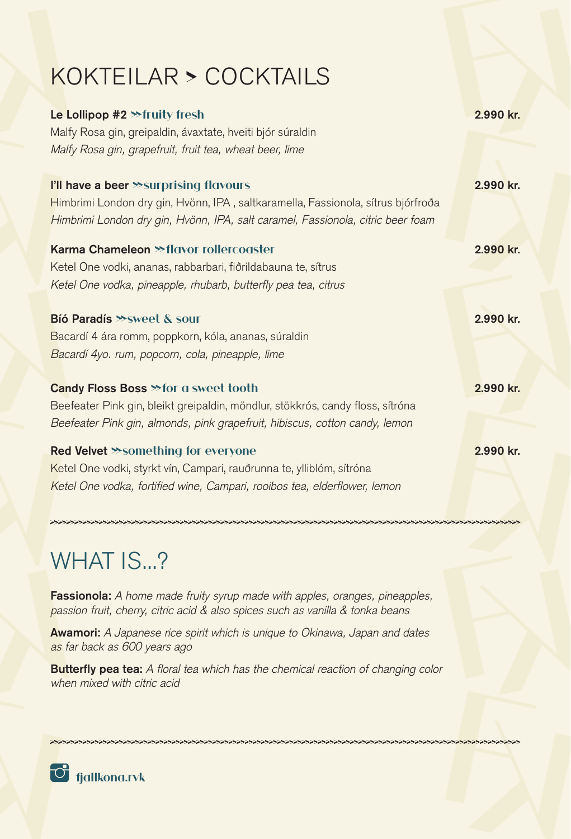### KOKTEILAR **>** COCKTAILS

| Le Lollipop #2 > fruity fresh                                                    | 2.990 kr. |
|----------------------------------------------------------------------------------|-----------|
| Malfy Rosa gin, greipaldin, ávaxtate, hveiti bjór súraldin                       |           |
| Malfy Rosa gin, grapefruit, fruit tea, wheat beer, lime                          |           |
| I'll have a beer >>surprising flavours                                           | 2.990 kr. |
| Himbrimi London dry gin, Hvönn, IPA, saltkaramella, Fassionola, sítrus bjórfroða |           |
| Himbrimi London dry gin, Hvönn, IPA, salt caramel, Fassionola, citric beer foam  |           |
| Karma Chameleon >>flavor rollercoaster                                           | 2.990 kr. |
| Ketel One vodki, ananas, rabbarbari, fiðrildabauna te, sítrus                    |           |
| Ketel One vodka, pineapple, rhubarb, butterfly pea tea, citrus                   |           |
| Bió Paradís >> sweet & sour                                                      | 2.990 kr. |
| Bacardí 4 ára romm, poppkorn, kóla, ananas, súraldin                             |           |
| Bacardí 4yo. rum, popcorn, cola, pineapple, lime                                 |           |
| Candy Floss Boss >> for a sweet tooth                                            | 2.990 kr. |
| Beefeater Pink gin, bleikt greipaldin, möndlur, stökkrós, candy floss, sítróna   |           |
| Beefeater Pink gin, almonds, pink grapefruit, hibiscus, cotton candy, lemon      |           |
| Red Velvet >>something for everyone                                              | 2.990 kr. |
| Ketel One vodki, styrkt vín, Campari, rauðrunna te, ylliblóm, sítróna            |           |
| Ketel One vodka, fortified wine, Campari, rooibos tea, elderflower, lemon        |           |

### WHAT IS...?

Fassionola: *A home made fruity syrup made with apples, oranges, pineapples, passion fruit, cherry, citric acid & also spices such as vanilla & tonka beans*

Awamori: *A Japanese rice spirit which is unique to Okinawa, Japan and dates as far back as 600 years ago*

Butterfly pea tea: *A floral tea which has the chemical reaction of changing color when mixed with citric acid* 

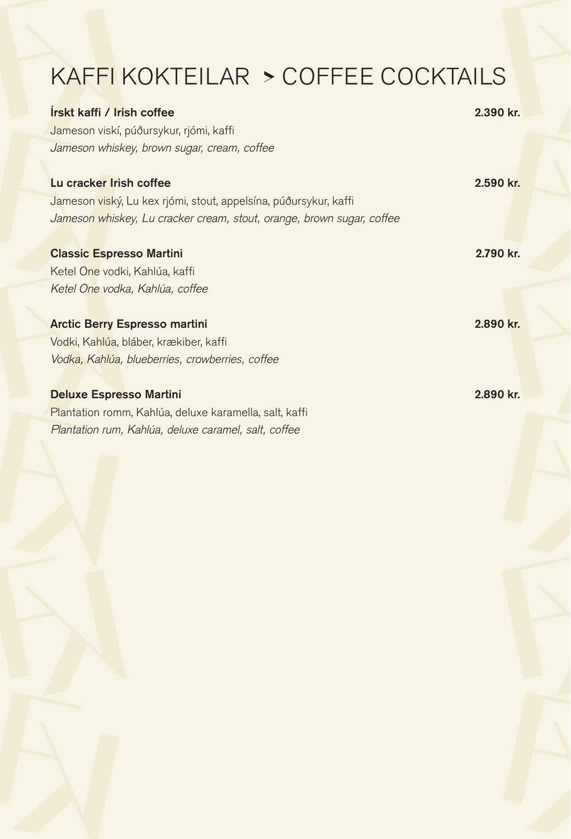# KAFFI KOKTEILAR **>** COFFEE COCKTAILS

| Irskt kaffi / Irish coffee                                            | 2.390 kr. |
|-----------------------------------------------------------------------|-----------|
| Jameson viskí, púðursykur, rjómi, kaffi                               |           |
| Jameson whiskey, brown sugar, cream, coffee                           |           |
|                                                                       |           |
| Lu cracker Irish coffee                                               | 2.590 kr. |
| Jameson viský, Lu kex rjómi, stout, appelsína, púðursykur, kaffi      |           |
| Jameson whiskey, Lu cracker cream, stout, orange, brown sugar, coffee |           |
|                                                                       |           |
| <b>Classic Espresso Martini</b>                                       | 2.790 kr. |
| Ketel One vodki, Kahlúa, kaffi                                        |           |
| Ketel One vodka, Kahlúa, coffee                                       |           |
|                                                                       |           |
| <b>Arctic Berry Espresso martini</b>                                  | 2.890 kr. |
| Vodki, Kahlúa, bláber, krækiber, kaffi                                |           |
| Vodka, Kahlúa, blueberries, crowberries, coffee                       |           |
|                                                                       |           |
| <b>Deluxe Espresso Martini</b>                                        | 2.890 kr. |
| Plantation romm, Kahlúa, deluxe karamella, salt, kaffi                |           |
| Plantation rum, Kahlúa, deluxe caramel, salt, coffee                  |           |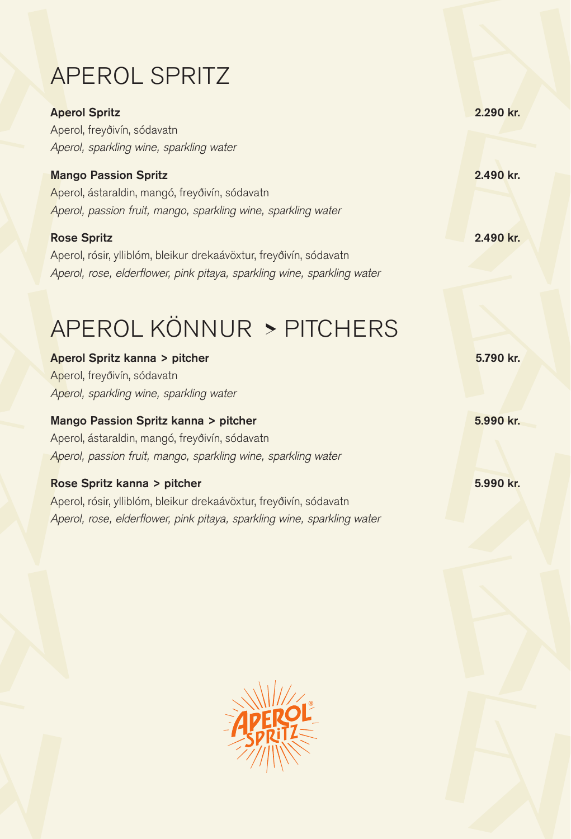# APEROL SPRITZ

| <b>Aperol Spritz</b>                                                    | 2.290 kr. |
|-------------------------------------------------------------------------|-----------|
| Aperol, freyðivín, sódavatn                                             |           |
| Aperol, sparkling wine, sparkling water                                 |           |
| <b>Mango Passion Spritz</b>                                             | 2.490 kr. |
| Aperol, ástaraldin, mangó, freyðivín, sódavatn                          |           |
| Aperol, passion fruit, mango, sparkling wine, sparkling water           |           |
| <b>Rose Spritz</b>                                                      | 2.490 kr. |
| Aperol, rósir, ylliblóm, bleikur drekaávöxtur, freyðivín, sódavatn      |           |
| Aperol, rose, elderflower, pink pitaya, sparkling wine, sparkling water |           |
|                                                                         |           |
| APEROL KÖNNUR > PITCHERS                                                |           |
|                                                                         |           |
| Aperol Spritz kanna > pitcher                                           | 5.790 kr. |
| Aperol, freyðivín, sódavatn                                             |           |
| Aperol, sparkling wine, sparkling water                                 |           |
| Mango Passion Spritz kanna > pitcher                                    | 5.990 kr. |
| Aperol, ástaraldin, mangó, freyðivín, sódavatn                          |           |
| Aperol, passion fruit, mango, sparkling wine, sparkling water           |           |
| Rose Spritz kanna > pitcher                                             | 5.990 kr. |
| Aperol, rósir, ylliblóm, bleikur drekaávöxtur, freyðivín, sódavatn      |           |
| Aperol, rose, elderflower, pink pitaya, sparkling wine, sparkling water |           |

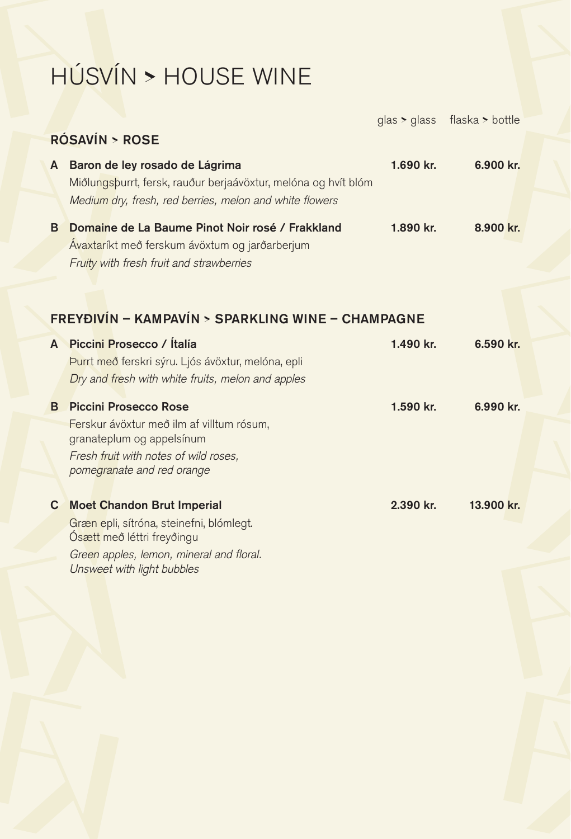# HÚSVÍN **>** HOUSE WINE

|    |                                                                                                                                                             |           | glas > glass flaska > bottle |
|----|-------------------------------------------------------------------------------------------------------------------------------------------------------------|-----------|------------------------------|
|    | <b>RÓSAVÍN &gt; ROSE</b>                                                                                                                                    |           |                              |
| A  | Baron de ley rosado de Lágrima<br>Miðlungsþurrt, fersk, rauður berjaávöxtur, melóna og hvít blóm<br>Medium dry, fresh, red berries, melon and white flowers | 1.690 kr. | 6.900 kr.                    |
| B  | Domaine de La Baume Pinot Noir rosé / Frakkland<br>Ávaxtaríkt með ferskum ávöxtum og jarðarberjum<br>Fruity with fresh fruit and strawberries               | 1.890 kr. | 8.900 kr.                    |
|    | FREYÐIVÍN - KAMPAVÍN > SPARKLING WINE - CHAMPAGNE                                                                                                           |           |                              |
| A  | Piccini Prosecco / Ítalía                                                                                                                                   | 1.490 kr. | 6.590 kr.                    |
|    | Purrt með ferskri sýru. Ljós ávöxtur, melóna, epli<br>Dry and fresh with white fruits, melon and apples                                                     |           |                              |
| B. | <b>Piccini Prosecco Rose</b>                                                                                                                                | 1.590 kr. | 6.990 kr.                    |
|    | Ferskur ávöxtur með ilm af villtum rósum,<br>granateplum og appelsínum                                                                                      |           |                              |
|    | Fresh fruit with notes of wild roses,<br>pomegranate and red orange                                                                                         |           |                              |
| C. | <b>Moet Chandon Brut Imperial</b>                                                                                                                           | 2.390 kr. | 13.900 kr.                   |
|    | Græn epli, sítróna, steinefni, blómlegt.<br>Ósætt með léttri freyðingu                                                                                      |           |                              |

*Green apples, lemon, mineral and floral. Unsweet with light bubbles*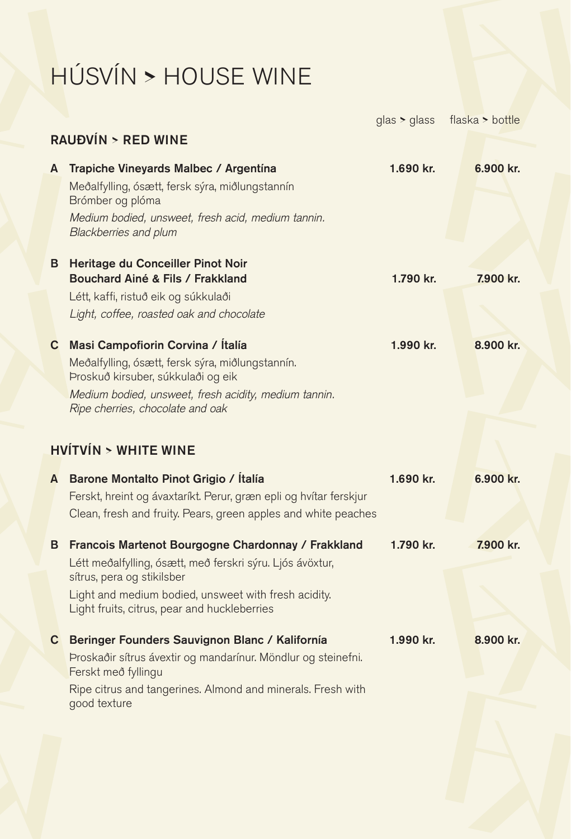# HÚSVÍN **>** HOUSE WINE

|   |                                                                                                                                                                                                                                                       | glas > glass | flaska > bottle |
|---|-------------------------------------------------------------------------------------------------------------------------------------------------------------------------------------------------------------------------------------------------------|--------------|-----------------|
|   | <b>RAUĐVÍN &gt; RED WINE</b>                                                                                                                                                                                                                          |              |                 |
| A | Trapiche Vineyards Malbec / Argentína<br>Meðalfylling, ósætt, fersk sýra, miðlungstannín<br>Brómber og plóma<br>Medium bodied, unsweet, fresh acid, medium tannin.<br>Blackberries and plum                                                           | 1.690 kr.    | 6.900 kr.       |
|   | <b>B</b> Heritage du Conceiller Pinot Noir<br>Bouchard Ainé & Fils / Frakkland<br>Létt, kaffi, ristuð eik og súkkulaði<br>Light, coffee, roasted oak and chocolate                                                                                    | 1.790 kr.    | 7.900 kr.       |
|   | C Masi Campofiorin Corvina / Ítalía<br>Meðalfylling, ósætt, fersk sýra, miðlungstannín.<br>Proskuð kirsuber, súkkulaði og eik<br>Medium bodied, unsweet, fresh acidity, medium tannin.<br>Ripe cherries, chocolate and oak                            | 1.990 kr.    | 8.900 kr.       |
|   | <b>HVÍTVÍN &gt; WHITE WINE</b>                                                                                                                                                                                                                        |              |                 |
| A | Barone Montalto Pinot Grigio / Ítalía<br>Ferskt, hreint og ávaxtaríkt. Perur, græn epli og hvítar ferskjur<br>Clean, fresh and fruity. Pears, green apples and white peaches                                                                          | 1.690 kr.    | 6.900 kr.       |
| в | Francois Martenot Bourgogne Chardonnay / Frakkland<br>Létt meðalfylling, ósætt, með ferskri sýru. Ljós ávöxtur,<br>sítrus, pera og stikilsber<br>Light and medium bodied, unsweet with fresh acidity.<br>Light fruits, citrus, pear and huckleberries | 1.790 kr.    | 7.900 kr.       |
|   | C Beringer Founders Sauvignon Blanc / Kalifornía<br>Proskaðir sítrus ávextir og mandarínur. Möndlur og steinefni.<br>Ferskt með fyllingu<br>Ripe citrus and tangerines. Almond and minerals. Fresh with<br>good texture                               | 1.990 kr.    | 8.900 kr.       |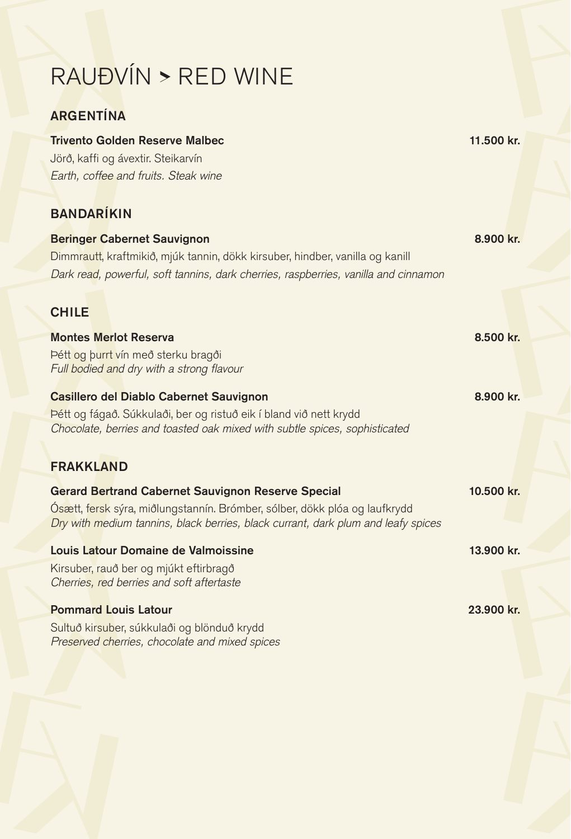# RAUÐVÍN **>** RED WINE

*Preserved cherries, chocolate and mixed spices*

### ARGENTÍNA

| <b>Trivento Golden Reserve Malbec</b>                                               | 11.500 kr. |
|-------------------------------------------------------------------------------------|------------|
| Jörð, kaffi og ávextir. Steikarvín                                                  |            |
| Earth, coffee and fruits. Steak wine                                                |            |
|                                                                                     |            |
| <b>BANDARÍKIN</b>                                                                   |            |
| <b>Beringer Cabernet Sauvignon</b>                                                  | 8.900 kr.  |
| Dimmrautt, kraftmikið, mjúk tannin, dökk kirsuber, hindber, vanilla og kanill       |            |
| Dark read, powerful, soft tannins, dark cherries, raspberries, vanilla and cinnamon |            |
|                                                                                     |            |
| <b>CHILE</b>                                                                        |            |
|                                                                                     |            |
| <b>Montes Merlot Reserva</b>                                                        | 8.500 kr.  |
| Pétt og þurrt vín með sterku bragði                                                 |            |
| Full bodied and dry with a strong flavour                                           |            |
| <b>Casillero del Diablo Cabernet Sauvignon</b>                                      | 8.900 kr.  |
| Þétt og fágað. Súkkulaði, ber og ristuð eik í bland við nett krydd                  |            |
| Chocolate, berries and toasted oak mixed with subtle spices, sophisticated          |            |
|                                                                                     |            |
| <b>FRAKKLAND</b>                                                                    |            |
| <b>Gerard Bertrand Cabernet Sauvignon Reserve Special</b>                           | 10.500 kr. |
| Osætt, fersk sýra, miðlungstannín. Brómber, sólber, dökk plóa og laufkrydd          |            |
| Dry with medium tannins, black berries, black currant, dark plum and leafy spices   |            |
| Louis Latour Domaine de Valmoissine                                                 | 13.900 kr. |
| Kirsuber, rauð ber og mjúkt eftirbragð                                              |            |
| Cherries, red berries and soft aftertaste                                           |            |
|                                                                                     |            |
| <b>Pommard Louis Latour</b>                                                         | 23.900 kr. |
| Sultuð kirsuber, súkkulaði og blönduð krydd                                         |            |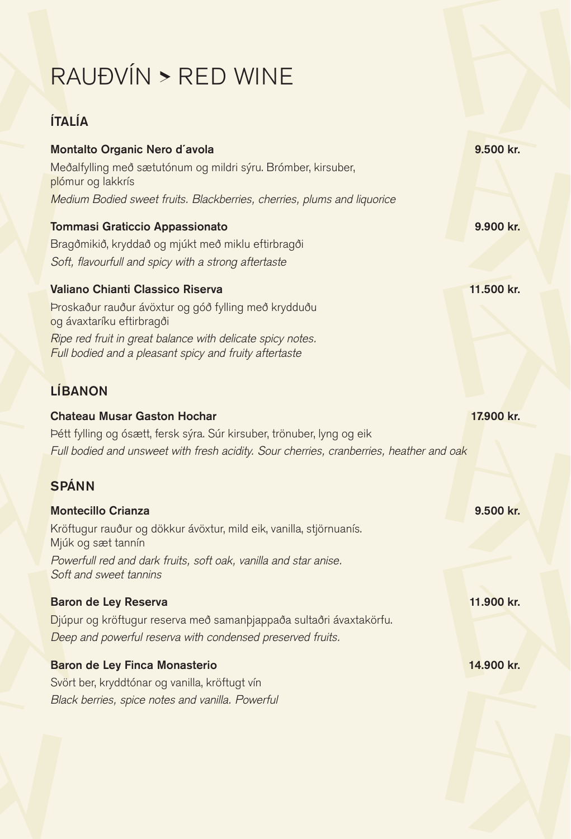# RAUÐVÍN **>** RED WINE

### ÍTALÍA

| Montalto Organic Nero d'avola                                                                                        | 9.500 kr.  |
|----------------------------------------------------------------------------------------------------------------------|------------|
| Meðalfylling með sætutónum og mildri sýru. Brómber, kirsuber,<br>plómur og lakkrís                                   |            |
| Medium Bodied sweet fruits. Blackberries, cherries, plums and liquorice                                              |            |
| <b>Tommasi Graticcio Appassionato</b>                                                                                | 9.900 kr.  |
| Bragðmikið, kryddað og mjúkt með miklu eftirbragði                                                                   |            |
| Soft, flavourfull and spicy with a strong aftertaste                                                                 |            |
| Valiano Chianti Classico Riserva                                                                                     | 11.500 kr. |
| Proskaður rauður ávöxtur og góð fylling með krydduðu<br>og ávaxtaríku eftirbragði                                    |            |
| Ripe red fruit in great balance with delicate spicy notes.<br>Full bodied and a pleasant spicy and fruity aftertaste |            |
| <b>LÍBANON</b>                                                                                                       |            |
| <b>Chateau Musar Gaston Hochar</b>                                                                                   | 17.900 kr. |
| Þétt fylling og ósætt, fersk sýra. Súr kirsuber, trönuber, lyng og eik                                               |            |
| Full bodied and unsweet with fresh acidity. Sour cherries, cranberries, heather and oak                              |            |
| <b>SPÁNN</b>                                                                                                         |            |
| <b>Montecillo Crianza</b>                                                                                            | 9.500 kr.  |
| Kröftugur rauður og dökkur ávöxtur, mild eik, vanilla, stjörnuanís.<br>Mjúk og sæt tannín                            |            |
| Powerfull red and dark fruits, soft oak, vanilla and star anise.<br>Soft and sweet tannins                           |            |
| <b>Baron de Ley Reserva</b>                                                                                          | 11.900 kr. |
| Djúpur og kröftugur reserva með samanþjappaða sultaðri ávaxtakörfu.                                                  |            |
| Deep and powerful reserva with condensed preserved fruits.                                                           |            |
| Baron de Ley Finca Monasterio                                                                                        | 14.900 kr. |
| Svört ber, kryddtónar og vanilla, kröftugt vín                                                                       |            |
| Black berries, spice notes and vanilla. Powerful                                                                     |            |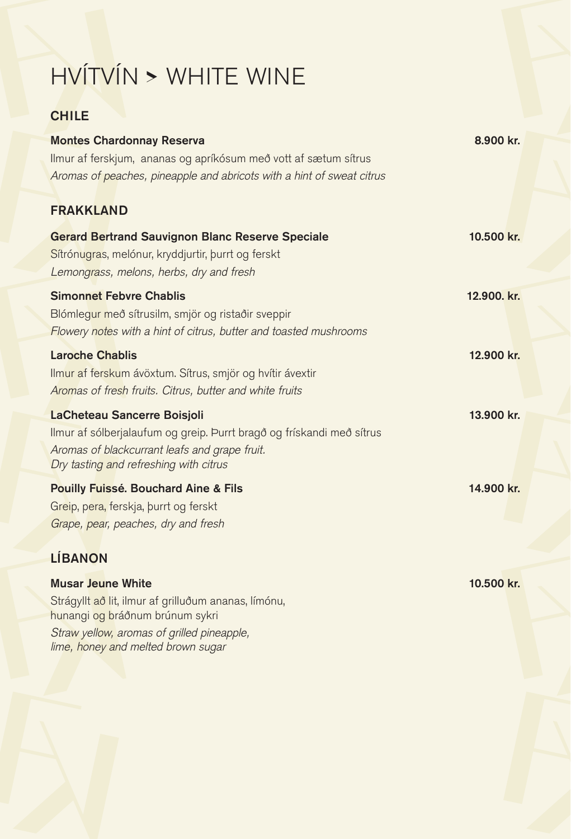# HVÍTVÍN **>** WHITE WINE

### **CHILE**

| <b>Montes Chardonnay Reserva</b>                                      | 8.900 kr.   |
|-----------------------------------------------------------------------|-------------|
| Ilmur af ferskjum, ananas og apríkósum með vott af sætum sítrus       |             |
| Aromas of peaches, pineapple and abricots with a hint of sweat citrus |             |
| <b>FRAKKLAND</b>                                                      |             |
| <b>Gerard Bertrand Sauvignon Blanc Reserve Speciale</b>               | 10.500 kr.  |
| Sítrónugras, melónur, kryddjurtir, burrt og ferskt                    |             |
| Lemongrass, melons, herbs, dry and fresh                              |             |
| <b>Simonnet Febvre Chablis</b>                                        | 12.900. kr. |
| Blómlegur með sítrusilm, smjör og ristaðir sveppir                    |             |
| Flowery notes with a hint of citrus, butter and toasted mushrooms     |             |
| <b>Laroche Chablis</b>                                                | 12.900 kr.  |
| Ilmur af ferskum ávöxtum. Sítrus, smjör og hvítir ávextir             |             |
| Aromas of fresh fruits. Citrus, butter and white fruits               |             |
| LaCheteau Sancerre Boisjoli                                           | 13.900 kr.  |
| Ilmur af sólberjalaufum og greip. Þurrt bragð og frískandi með sítrus |             |
| Aromas of blackcurrant leafs and grape fruit.                         |             |
| Dry tasting and refreshing with citrus                                |             |
| <b>Pouilly Fuissé. Bouchard Aine &amp; Fils</b>                       | 14.900 kr.  |
| Greip, pera, ferskja, burrt og ferskt                                 |             |
| Grape, pear, peaches, dry and fresh                                   |             |
| <b>LÍBANON</b>                                                        |             |

| <b>Musar Jeune White</b>                             | 10.500 kr. |
|------------------------------------------------------|------------|
| Strágyllt að lit, ilmur af grilluðum ananas, límónu, |            |
| hunangi og bráðnum brúnum sykri                      |            |
| Straw yellow, aromas of grilled pineapple,           |            |
| lime, honey and melted brown sugar                   |            |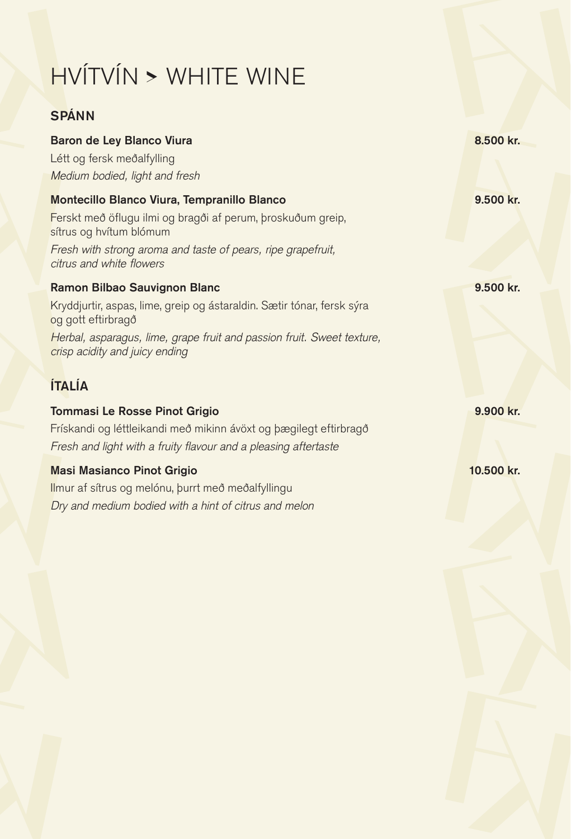# HVÍTVÍN **>** WHITE WINE

### SPÁNN

| Baron de Ley Blanco Viura                                                                                | 8.500 kr.  |
|----------------------------------------------------------------------------------------------------------|------------|
| Létt og fersk meðalfylling                                                                               |            |
| Medium bodied, light and fresh                                                                           |            |
| Montecillo Blanco Viura, Tempranillo Blanco                                                              | 9.500 kr.  |
| Ferskt með öflugu ilmi og bragði af perum, þroskuðum greip,<br>sítrus og hvítum blómum                   |            |
| Fresh with strong aroma and taste of pears, ripe grapefruit,<br>citrus and white flowers                 |            |
| Ramon Bilbao Sauvignon Blanc                                                                             | 9.500 kr.  |
| Kryddjurtir, aspas, lime, greip og ástaraldin. Sætir tónar, fersk sýra<br>og gott eftirbragð             |            |
| Herbal, asparagus, lime, grape fruit and passion fruit. Sweet texture,<br>crisp acidity and juicy ending |            |
| <b>ÍTALÍA</b>                                                                                            |            |
| <b>Tommasi Le Rosse Pinot Grigio</b>                                                                     | 9.900 kr.  |
| Frískandi og léttleikandi með mikinn ávöxt og þægilegt eftirbragð                                        |            |
| Fresh and light with a fruity flavour and a pleasing aftertaste                                          |            |
| <b>Masi Masianco Pinot Grigio</b>                                                                        | 10.500 kr. |
| Ilmur af sítrus og melónu, þurrt með meðalfyllingu                                                       |            |
| Dry and medium bodied with a hint of citrus and melon                                                    |            |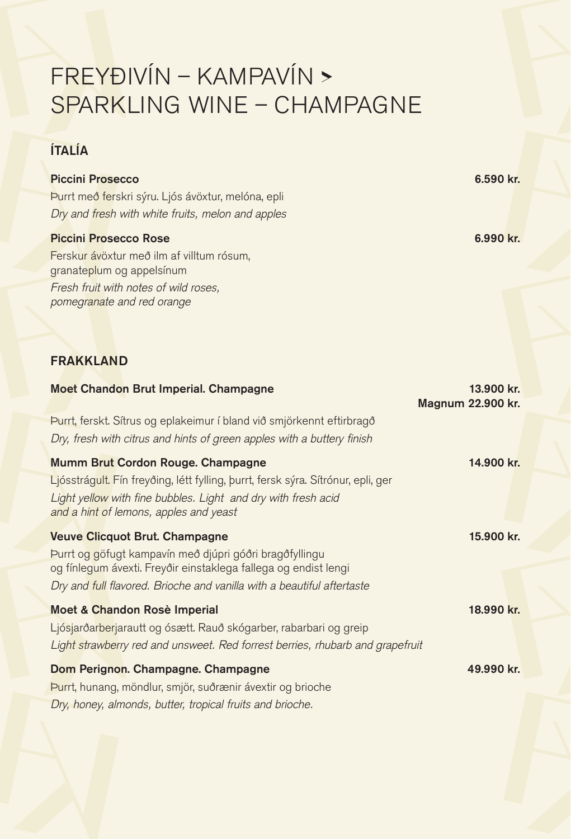### FREYÐIVÍN – KAMPAVÍN **>** SPARKLING WINE – CHAMPAGNE

### ÍTALÍA

| <b>Piccini Prosecco</b><br>Purrt með ferskri sýru. Ljós ávöxtur, melóna, epli<br>Dry and fresh with white fruits, melon and apples                                                                                                            | 6.590 kr.                       |
|-----------------------------------------------------------------------------------------------------------------------------------------------------------------------------------------------------------------------------------------------|---------------------------------|
| <b>Piccini Prosecco Rose</b><br>Ferskur ávöxtur með ilm af villtum rósum,<br>granateplum og appelsínum<br>Fresh fruit with notes of wild roses,<br>pomegranate and red orange                                                                 | 6.990 kr.                       |
| <b>FRAKKLAND</b>                                                                                                                                                                                                                              |                                 |
| <b>Moet Chandon Brut Imperial. Champagne</b>                                                                                                                                                                                                  | 13.900 kr.<br>Magnum 22.900 kr. |
| Purrt, ferskt. Sítrus og eplakeimur í bland við smjörkennt eftirbragð<br>Dry, fresh with citrus and hints of green apples with a buttery finish                                                                                               |                                 |
| Mumm Brut Cordon Rouge. Champagne<br>Ljósstrágult. Fín freyðing, létt fylling, þurrt, fersk sýra. Sítrónur, epli, ger<br>Light yellow with fine bubbles. Light and dry with fresh acid<br>and a hint of lemons, apples and yeast              | 14.900 kr.                      |
| <b>Veuve Clicquot Brut. Champagne</b><br>Purrt og göfugt kampavín með djúpri góðri bragðfyllingu<br>og fínlegum ávexti. Freyðir einstaklega fallega og endist lengi<br>Dry and full flavored. Brioche and vanilla with a beautiful aftertaste | 15,900 kr.                      |
| Moet & Chandon Rosè Imperial<br>Ljósjarðarberjarautt og ósætt. Rauð skógarber, rabarbari og greip<br>Light strawberry red and unsweet. Red forrest berries, rhubarb and grapefruit                                                            | 18.990 kr.                      |

Dom Perignon. Champagne. Champagne 49.990 kr. Þurrt, hunang, möndlur, smjör, suðrænir ávextir og brioche *Dry, honey, almonds, butter, tropical fruits and brioche.*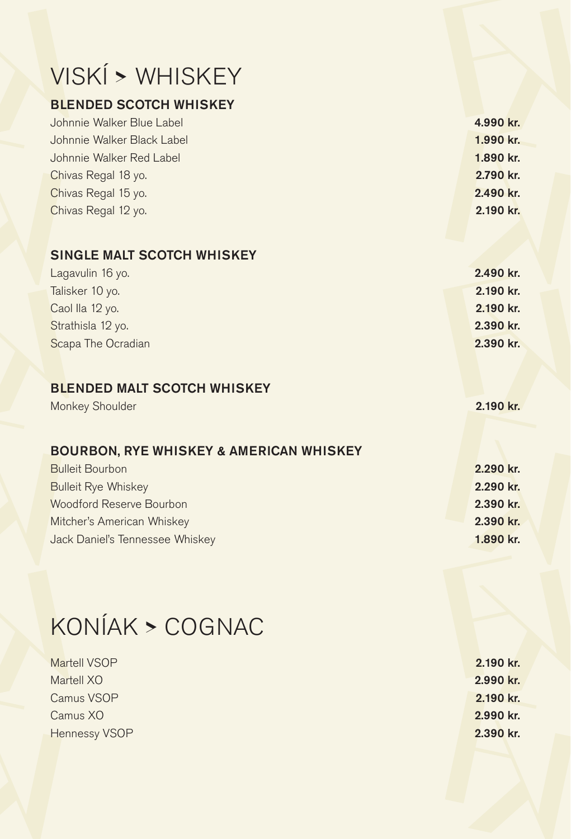# VISKÍ **>** WHISKEY

#### BLENDED SCOTCH WHISKEY

| Johnnie Walker Blue Label  | 4.990 kr. |
|----------------------------|-----------|
| Johnnie Walker Black Label | 1.990 kr. |
| Johnnie Walker Red Label   | 1.890 kr. |
| Chivas Regal 18 yo.        | 2.790 kr. |
| Chivas Regal 15 yo.        | 2.490 kr. |
| Chivas Regal 12 yo.        | 2.190 kr. |

### SINGLE MALT SCOTCH WHISKEY

| Lagavulin 16 yo.   | 2.490 kr. |
|--------------------|-----------|
| Talisker 10 yo.    | 2.190 kr. |
| Caol Ila 12 yo.    | 2.190 kr. |
| Strathisla 12 yo.  | 2.390 kr. |
| Scapa The Ocradian | 2.390 kr. |

#### BLENDED MALT SCOTCH WHISKEY

### Monkey Shoulder 2.190 kr.

#### BOURBON, RYE WHISKEY & AMERICAN WHISKEY

| <b>Bulleit Bourbon</b>          | 2.290 kr. |
|---------------------------------|-----------|
| <b>Bulleit Rye Whiskey</b>      | 2.290 kr. |
| Woodford Reserve Bourbon        | 2.390 kr. |
| Mitcher's American Whiskey      | 2.390 kr. |
| Jack Daniel's Tennessee Whiskey | 1.890 kr. |
|                                 |           |

## KONÍAK **>** COGNAC

| Martell VSOP         | 2.190 kr. |
|----------------------|-----------|
| Martell XO           | 2.990 kr. |
| Camus VSOP           | 2.190 kr. |
| Camus XO             | 2.990 kr. |
| <b>Hennessy VSOP</b> | 2.390 kr. |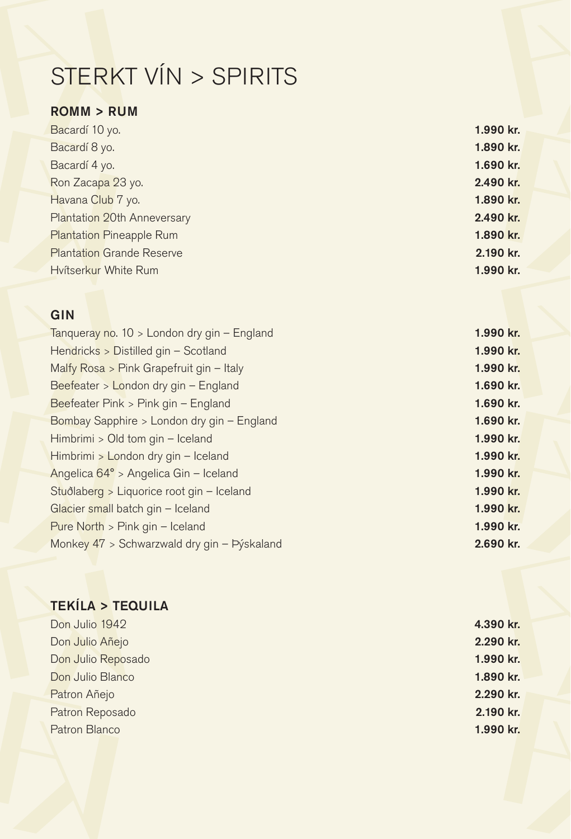# STERKT VÍN > SPIRITS

### ROMM > RUM

| Bacardí 10 yo.                   | 1.990 kr. |  |
|----------------------------------|-----------|--|
| Bacardí 8 yo.                    | 1.890 kr. |  |
| Bacardí 4 yo.                    | 1.690 kr. |  |
| Ron Zacapa 23 yo.                | 2.490 kr. |  |
| Havana Club 7 yo.                | 1.890 kr. |  |
| Plantation 20th Anneversary      | 2.490 kr. |  |
| <b>Plantation Pineapple Rum</b>  | 1.890 kr. |  |
| <b>Plantation Grande Reserve</b> | 2.190 kr. |  |
| Hvítserkur White Rum             | 1.990 kr. |  |

#### **GIN**

| Tanqueray no. 10 > London dry gin - England | 1.990 kr. |
|---------------------------------------------|-----------|
| Hendricks > Distilled gin - Scotland        | 1.990 kr. |
| Malfy Rosa > Pink Grapefruit gin - Italy    | 1.990 kr. |
| Beefeater > London dry gin - England        | 1.690 kr. |
| Beefeater Pink > Pink gin - England         | 1.690 kr. |
| Bombay Sapphire > London dry gin - England  | 1.690 kr. |
| Himbrimi > Old tom gin - Iceland            | 1.990 kr. |
| Himbrimi > London dry gin - Iceland         | 1.990 kr. |
| Angelica 64° > Angelica Gin - Iceland       | 1.990 kr. |
| Stuðlaberg > Liquorice root gin - Iceland   | 1.990 kr. |
| Glacier small batch gin - Iceland           | 1.990 kr. |
| Pure North $>$ Pink gin – Iceland           | 1.990 kr. |
| Monkey 47 > Schwarzwald dry gin - Pýskaland | 2.690 kr. |
|                                             |           |

### TEKÍLA > TEQUILA Don Julio 1942 4.390 kr. Don Julio Añejo 2.290 kr. Don Julio Reposado 1.990 kr. Don Julio Blanco 1.890 kr. Patron Añejo 2.290 kr. Patron Reposado 2.190 kr. Patron Blanco **1.990 kr.** 2.990 kr. 2.990 kr. 2.990 kr. 2.990 kr. 2.990 kr. 2.990 kr. 2.990 kr. 2.990 kr. 2.990 kr. 2.990 kr. 2.990 kr. 2.990 kr. 2.990 kr. 2.990 kr. 2.990 kr. 2.990 kr. 2.990 kr. 2.990 kr. 2.990 kr. 2.990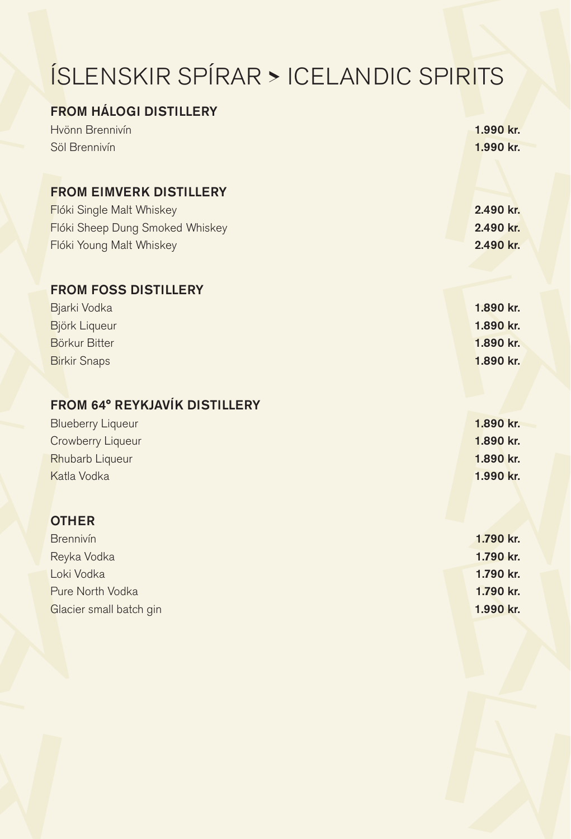# ÍSLENSKIR SPÍRAR **>** ICELANDIC SPIRITS

| <b>FROM HALOGI DISTILLERY</b>        |           |
|--------------------------------------|-----------|
| Hvönn Brennivín                      | 1.990 kr. |
| Söl Brennivín                        | 1.990 kr. |
|                                      |           |
| <b>FROM EIMVERK DISTILLERY</b>       |           |
| Flóki Single Malt Whiskey            | 2.490 kr. |
| Flóki Sheep Dung Smoked Whiskey      | 2.490 kr. |
| Flóki Young Malt Whiskey             | 2.490 kr. |
|                                      |           |
| <b>FROM FOSS DISTILLERY</b>          |           |
| Bjarki Vodka                         | 1.890 kr. |
| Björk Liqueur                        | 1.890 kr. |
| <b>Börkur Bitter</b>                 | 1.890 kr. |
| <b>Birkir Snaps</b>                  | 1.890 kr. |
|                                      |           |
| <b>FROM 64° REYKJAVÍK DISTILLERY</b> |           |
| <b>Blueberry Liqueur</b>             | 1.890 kr. |
| Crowberry Liqueur                    | 1.890 kr. |
| Rhubarb Liqueur                      | 1.890 kr. |
| Katla Vodka                          | 1.990 kr. |
|                                      |           |
| <b>OTHER</b>                         |           |
| Brennivín                            | 1.790 kr. |
| Reyka Vodka                          | 1.790 kr. |
| Loki Vodka                           | 1.790 kr. |
| Pure North Vodka                     | 1.790 kr. |
| Glacier small batch gin              | 1.990 kr. |